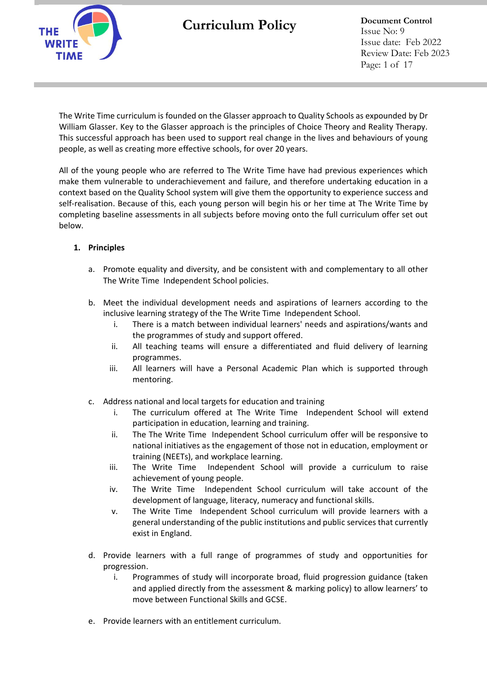

Issue No: 9 Issue date: Feb 2022 Review Date: Feb 2023 Page: 1 of 17

The Write Time curriculum is founded on the Glasser approach to Quality Schools as expounded by Dr William Glasser. Key to the Glasser approach is the principles of Choice Theory and Reality Therapy. This successful approach has been used to support real change in the lives and behaviours of young people, as well as creating more effective schools, for over 20 years.

All of the young people who are referred to The Write Time have had previous experiences which make them vulnerable to underachievement and failure, and therefore undertaking education in a context based on the Quality School system will give them the opportunity to experience success and self-realisation. Because of this, each young person will begin his or her time at The Write Time by completing baseline assessments in all subjects before moving onto the full curriculum offer set out below.

### **1. Principles**

- a. Promote equality and diversity, and be consistent with and complementary to all other The Write Time Independent School policies.
- b. Meet the individual development needs and aspirations of learners according to the inclusive learning strategy of the The Write Time Independent School.
	- i. There is a match between individual learners' needs and aspirations/wants and the programmes of study and support offered.
	- ii. All teaching teams will ensure a differentiated and fluid delivery of learning programmes.
	- iii. All learners will have a Personal Academic Plan which is supported through mentoring.
- c. Address national and local targets for education and training
	- i. The curriculum offered at The Write Time Independent School will extend participation in education, learning and training.
	- ii. The The Write Time Independent School curriculum offer will be responsive to national initiatives as the engagement of those not in education, employment or training (NEETs), and workplace learning.
	- iii. The Write Time Independent School will provide a curriculum to raise achievement of young people.
	- iv. The Write Time Independent School curriculum will take account of the development of language, literacy, numeracy and functional skills.
	- v. The Write Time Independent School curriculum will provide learners with a general understanding of the public institutions and public services that currently exist in England.
- d. Provide learners with a full range of programmes of study and opportunities for progression.
	- i. Programmes of study will incorporate broad, fluid progression guidance (taken and applied directly from the assessment & marking policy) to allow learners' to move between Functional Skills and GCSE.
- e. Provide learners with an entitlement curriculum.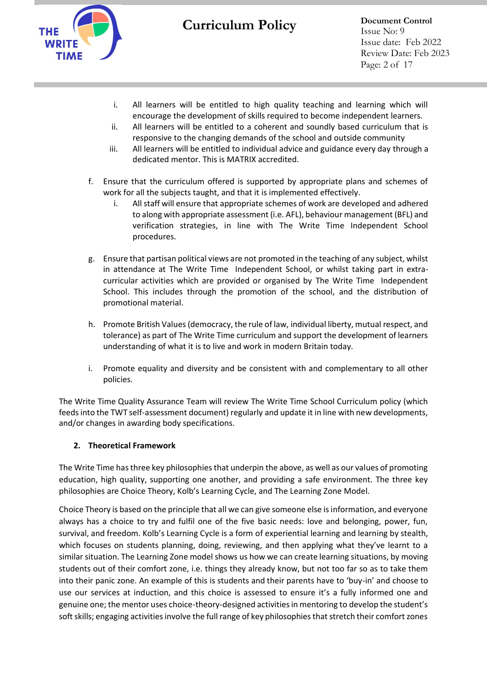

- i. All learners will be entitled to high quality teaching and learning which will encourage the development of skills required to become independent learners.
- ii. All learners will be entitled to a coherent and soundly based curriculum that is responsive to the changing demands of the school and outside community
- iii. All learners will be entitled to individual advice and guidance every day through a dedicated mentor. This is MATRIX accredited.
- f. Ensure that the curriculum offered is supported by appropriate plans and schemes of work for all the subjects taught, and that it is implemented effectively.
	- i. All staff will ensure that appropriate schemes of work are developed and adhered to along with appropriate assessment (i.e. AFL), behaviour management (BFL) and verification strategies, in line with The Write Time Independent School procedures.
- g. Ensure that partisan political views are not promoted in the teaching of any subject, whilst in attendance at The Write Time Independent School, or whilst taking part in extracurricular activities which are provided or organised by The Write Time Independent School. This includes through the promotion of the school, and the distribution of promotional material.
- h. Promote British Values(democracy, the rule of law, individual liberty, mutual respect, and tolerance) as part of The Write Time curriculum and support the development of learners understanding of what it is to live and work in modern Britain today.
- i. Promote equality and diversity and be consistent with and complementary to all other policies.

The Write Time Quality Assurance Team will review The Write Time School Curriculum policy (which feeds into the TWT self-assessment document) regularly and update it in line with new developments, and/or changes in awarding body specifications.

### **2. Theoretical Framework**

The Write Time has three key philosophies that underpin the above, as well as our values of promoting education, high quality, supporting one another, and providing a safe environment. The three key philosophies are Choice Theory, Kolb's Learning Cycle, and The Learning Zone Model.

Choice Theory is based on the principle that all we can give someone else is information, and everyone always has a choice to try and fulfil one of the five basic needs: love and belonging, power, fun, survival, and freedom. Kolb's Learning Cycle is a form of experiential learning and learning by stealth, which focuses on students planning, doing, reviewing, and then applying what they've learnt to a similar situation. The Learning Zone model shows us how we can create learning situations, by moving students out of their comfort zone, i.e. things they already know, but not too far so as to take them into their panic zone. An example of this is students and their parents have to 'buy-in' and choose to use our services at induction, and this choice is assessed to ensure it's a fully informed one and genuine one; the mentor uses choice-theory-designed activities in mentoring to develop the student's soft skills; engaging activities involve the full range of key philosophies that stretch their comfort zones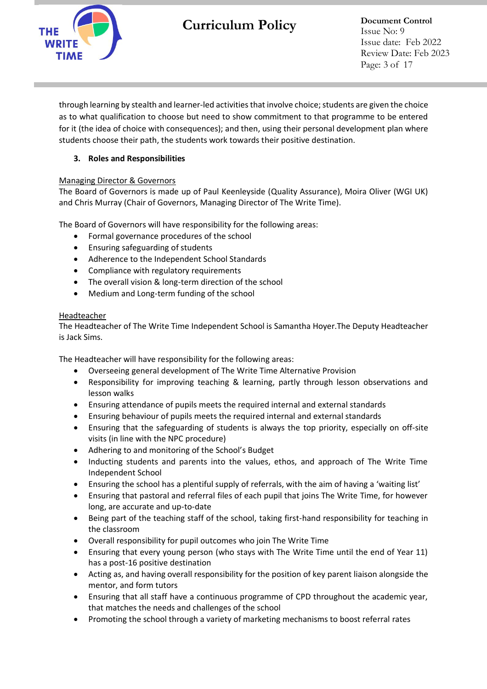

Issue No: 9 Issue date: Feb 2022 Review Date: Feb 2023 Page: 3 of 17

through learning by stealth and learner-led activities that involve choice; students are given the choice as to what qualification to choose but need to show commitment to that programme to be entered for it (the idea of choice with consequences); and then, using their personal development plan where students choose their path, the students work towards their positive destination.

### **3. Roles and Responsibilities**

### Managing Director & Governors

The Board of Governors is made up of Paul Keenleyside (Quality Assurance), Moira Oliver (WGI UK) and Chris Murray (Chair of Governors, Managing Director of The Write Time).

The Board of Governors will have responsibility for the following areas:

- Formal governance procedures of the school
- Ensuring safeguarding of students
- Adherence to the Independent School Standards
- Compliance with regulatory requirements
- The overall vision & long-term direction of the school
- Medium and Long-term funding of the school

#### Headteacher

The Headteacher of The Write Time Independent School is Samantha Hoyer.The Deputy Headteacher is Jack Sims.

The Headteacher will have responsibility for the following areas:

- Overseeing general development of The Write Time Alternative Provision
- Responsibility for improving teaching & learning, partly through lesson observations and lesson walks
- Ensuring attendance of pupils meets the required internal and external standards
- Ensuring behaviour of pupils meets the required internal and external standards
- Ensuring that the safeguarding of students is always the top priority, especially on off-site visits (in line with the NPC procedure)
- Adhering to and monitoring of the School's Budget
- Inducting students and parents into the values, ethos, and approach of The Write Time Independent School
- Ensuring the school has a plentiful supply of referrals, with the aim of having a 'waiting list'
- Ensuring that pastoral and referral files of each pupil that joins The Write Time, for however long, are accurate and up-to-date
- Being part of the teaching staff of the school, taking first-hand responsibility for teaching in the classroom
- Overall responsibility for pupil outcomes who join The Write Time
- Ensuring that every young person (who stays with The Write Time until the end of Year 11) has a post-16 positive destination
- Acting as, and having overall responsibility for the position of key parent liaison alongside the mentor, and form tutors
- Ensuring that all staff have a continuous programme of CPD throughout the academic year, that matches the needs and challenges of the school
- Promoting the school through a variety of marketing mechanisms to boost referral rates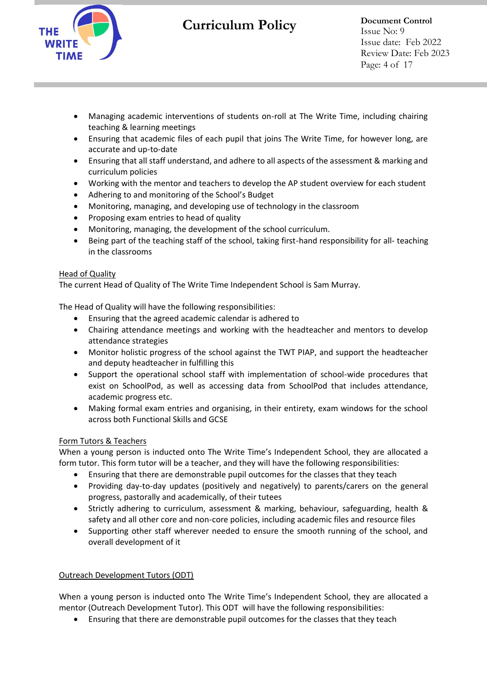

- Managing academic interventions of students on-roll at The Write Time, including chairing teaching & learning meetings
- Ensuring that academic files of each pupil that joins The Write Time, for however long, are accurate and up-to-date
- Ensuring that all staff understand, and adhere to all aspects of the assessment & marking and curriculum policies
- Working with the mentor and teachers to develop the AP student overview for each student
- Adhering to and monitoring of the School's Budget
- Monitoring, managing, and developing use of technology in the classroom
- Proposing exam entries to head of quality
- Monitoring, managing, the development of the school curriculum.
- Being part of the teaching staff of the school, taking first-hand responsibility for all- teaching in the classrooms

### Head of Quality

The current Head of Quality of The Write Time Independent School is Sam Murray.

The Head of Quality will have the following responsibilities:

- Ensuring that the agreed academic calendar is adhered to
- Chairing attendance meetings and working with the headteacher and mentors to develop attendance strategies
- Monitor holistic progress of the school against the TWT PIAP, and support the headteacher and deputy headteacher in fulfilling this
- Support the operational school staff with implementation of school-wide procedures that exist on SchoolPod, as well as accessing data from SchoolPod that includes attendance, academic progress etc.
- Making formal exam entries and organising, in their entirety, exam windows for the school across both Functional Skills and GCSE

### Form Tutors & Teachers

When a young person is inducted onto The Write Time's Independent School, they are allocated a form tutor. This form tutor will be a teacher, and they will have the following responsibilities:

- Ensuring that there are demonstrable pupil outcomes for the classes that they teach
- Providing day-to-day updates (positively and negatively) to parents/carers on the general progress, pastorally and academically, of their tutees
- Strictly adhering to curriculum, assessment & marking, behaviour, safeguarding, health & safety and all other core and non-core policies, including academic files and resource files
- Supporting other staff wherever needed to ensure the smooth running of the school, and overall development of it

### Outreach Development Tutors (ODT)

When a young person is inducted onto The Write Time's Independent School, they are allocated a mentor (Outreach Development Tutor). This ODT will have the following responsibilities:

• Ensuring that there are demonstrable pupil outcomes for the classes that they teach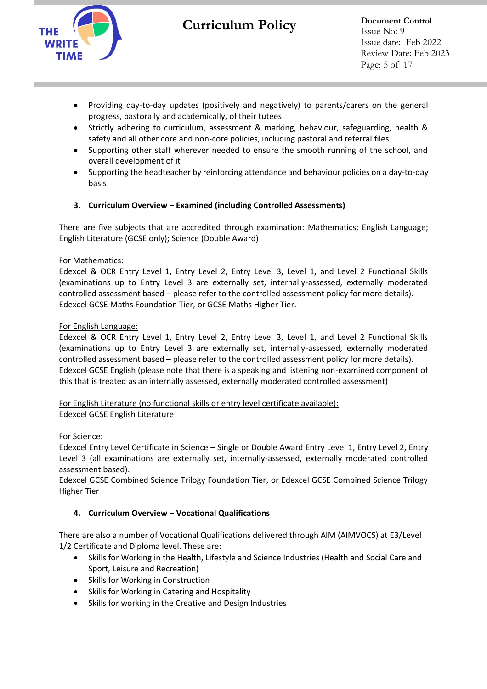

- Providing day-to-day updates (positively and negatively) to parents/carers on the general progress, pastorally and academically, of their tutees
- Strictly adhering to curriculum, assessment & marking, behaviour, safeguarding, health & safety and all other core and non-core policies, including pastoral and referral files
- Supporting other staff wherever needed to ensure the smooth running of the school, and overall development of it
- Supporting the headteacher by reinforcing attendance and behaviour policies on a day-to-day basis

### **3. Curriculum Overview – Examined (including Controlled Assessments)**

There are five subjects that are accredited through examination: Mathematics; English Language; English Literature (GCSE only); Science (Double Award)

### For Mathematics:

Edexcel & OCR Entry Level 1, Entry Level 2, Entry Level 3, Level 1, and Level 2 Functional Skills (examinations up to Entry Level 3 are externally set, internally-assessed, externally moderated controlled assessment based – please refer to the controlled assessment policy for more details). Edexcel GCSE Maths Foundation Tier, or GCSE Maths Higher Tier.

#### For English Language:

Edexcel & OCR Entry Level 1, Entry Level 2, Entry Level 3, Level 1, and Level 2 Functional Skills (examinations up to Entry Level 3 are externally set, internally-assessed, externally moderated controlled assessment based – please refer to the controlled assessment policy for more details). Edexcel GCSE English (please note that there is a speaking and listening non-examined component of this that is treated as an internally assessed, externally moderated controlled assessment)

For English Literature (no functional skills or entry level certificate available): Edexcel GCSE English Literature

### For Science:

Edexcel Entry Level Certificate in Science – Single or Double Award Entry Level 1, Entry Level 2, Entry Level 3 (all examinations are externally set, internally-assessed, externally moderated controlled assessment based).

Edexcel GCSE Combined Science Trilogy Foundation Tier, or Edexcel GCSE Combined Science Trilogy Higher Tier

### **4. Curriculum Overview – Vocational Qualifications**

There are also a number of Vocational Qualifications delivered through AIM (AIMVOCS) at E3/Level 1/2 Certificate and Diploma level. These are:

- Skills for Working in the Health, Lifestyle and Science Industries (Health and Social Care and Sport, Leisure and Recreation)
- Skills for Working in Construction
- Skills for Working in Catering and Hospitality
- Skills for working in the Creative and Design Industries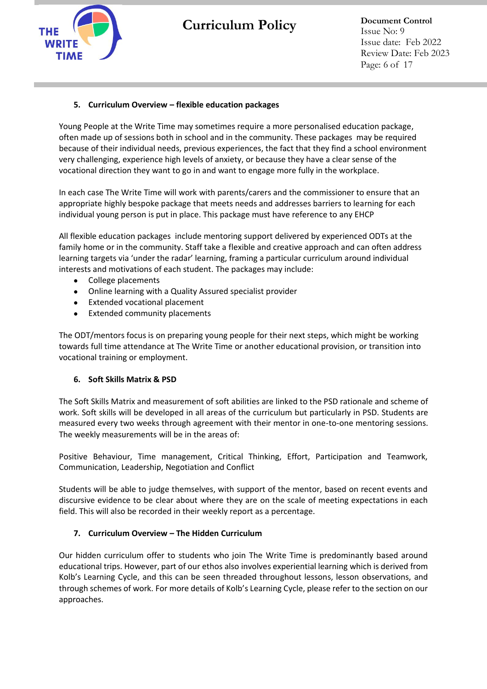

#### **5. Curriculum Overview – flexible education packages**

Young People at the Write Time may sometimes require a more personalised education package, often made up of sessions both in school and in the community. These packages may be required because of their individual needs, previous experiences, the fact that they find a school environment very challenging, experience high levels of anxiety, or because they have a clear sense of the vocational direction they want to go in and want to engage more fully in the workplace.

In each case The Write Time will work with parents/carers and the commissioner to ensure that an appropriate highly bespoke package that meets needs and addresses barriers to learning for each individual young person is put in place. This package must have reference to any EHCP

All flexible education packages include mentoring support delivered by experienced ODTs at the family home or in the community. Staff take a flexible and creative approach and can often address learning targets via 'under the radar' learning, framing a particular curriculum around individual interests and motivations of each student. The packages may include:

- College placements
- Online learning with a Quality Assured specialist provider
- Extended vocational placement
- Extended community placements

The ODT/mentors focus is on preparing young people for their next steps, which might be working towards full time attendance at The Write Time or another educational provision, or transition into vocational training or employment.

#### **6. Soft Skills Matrix & PSD**

The Soft Skills Matrix and measurement of soft abilities are linked to the PSD rationale and scheme of work. Soft skills will be developed in all areas of the curriculum but particularly in PSD. Students are measured every two weeks through agreement with their mentor in one-to-one mentoring sessions. The weekly measurements will be in the areas of:

Positive Behaviour, Time management, Critical Thinking, Effort, Participation and Teamwork, Communication, Leadership, Negotiation and Conflict

Students will be able to judge themselves, with support of the mentor, based on recent events and discursive evidence to be clear about where they are on the scale of meeting expectations in each field. This will also be recorded in their weekly report as a percentage.

#### **7. Curriculum Overview – The Hidden Curriculum**

Our hidden curriculum offer to students who join The Write Time is predominantly based around educational trips. However, part of our ethos also involves experiential learning which is derived from Kolb's Learning Cycle, and this can be seen threaded throughout lessons, lesson observations, and through schemes of work. For more details of Kolb's Learning Cycle, please refer to the section on our approaches.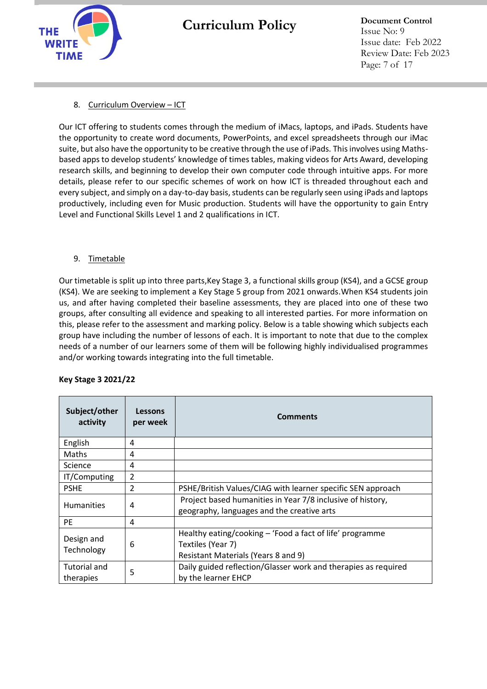

Issue No: 9 Issue date: Feb 2022 Review Date: Feb 2023 Page: 7 of 17

### 8. Curriculum Overview – ICT

Our ICT offering to students comes through the medium of iMacs, laptops, and iPads. Students have the opportunity to create word documents, PowerPoints, and excel spreadsheets through our iMac suite, but also have the opportunity to be creative through the use of iPads. This involves using Mathsbased apps to develop students' knowledge of times tables, making videos for Arts Award, developing research skills, and beginning to develop their own computer code through intuitive apps. For more details, please refer to our specific schemes of work on how ICT is threaded throughout each and every subject, and simply on a day-to-day basis, students can be regularly seen using iPads and laptops productively, including even for Music production. Students will have the opportunity to gain Entry Level and Functional Skills Level 1 and 2 qualifications in ICT.

### 9. Timetable

Our timetable is split up into three parts,Key Stage 3, a functional skills group (KS4), and a GCSE group (KS4). We are seeking to implement a Key Stage 5 group from 2021 onwards.When KS4 students join us, and after having completed their baseline assessments, they are placed into one of these two groups, after consulting all evidence and speaking to all interested parties. For more information on this, please refer to the assessment and marking policy. Below is a table showing which subjects each group have including the number of lessons of each. It is important to note that due to the complex needs of a number of our learners some of them will be following highly individualised programmes and/or working towards integrating into the full timetable.

#### **Key Stage 3 2021/22**

| Subject/other<br>activity | Lessons<br>per week | <b>Comments</b>                                                                                                      |
|---------------------------|---------------------|----------------------------------------------------------------------------------------------------------------------|
| English                   | 4                   |                                                                                                                      |
| <b>Maths</b>              | 4                   |                                                                                                                      |
| Science                   | 4                   |                                                                                                                      |
| IT/Computing              | $\overline{2}$      |                                                                                                                      |
| <b>PSHE</b>               | 2                   | PSHE/British Values/CIAG with learner specific SEN approach                                                          |
| <b>Humanities</b>         | 4                   | Project based humanities in Year 7/8 inclusive of history,<br>geography, languages and the creative arts             |
| PE                        | 4                   |                                                                                                                      |
| Design and<br>Technology  | 6                   | Healthy eating/cooking – 'Food a fact of life' programme<br>Textiles (Year 7)<br>Resistant Materials (Years 8 and 9) |
| Tutorial and<br>therapies | 5                   | Daily guided reflection/Glasser work and therapies as required<br>by the learner EHCP                                |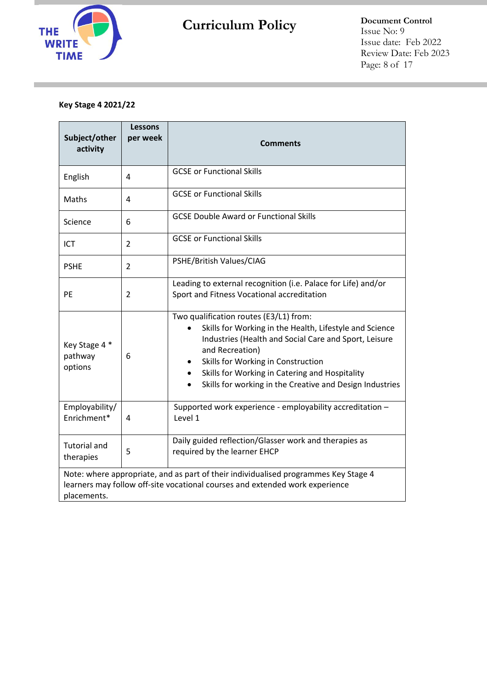

### **Key Stage 4 2021/22**

| Subject/other<br>activity           | Lessons<br>per week | <b>Comments</b>                                                                                                                                                                                                                                                                                                                                |
|-------------------------------------|---------------------|------------------------------------------------------------------------------------------------------------------------------------------------------------------------------------------------------------------------------------------------------------------------------------------------------------------------------------------------|
| English                             | 4                   | <b>GCSE or Functional Skills</b>                                                                                                                                                                                                                                                                                                               |
| Maths                               | 4                   | <b>GCSE or Functional Skills</b>                                                                                                                                                                                                                                                                                                               |
| Science                             | 6                   | <b>GCSE Double Award or Functional Skills</b>                                                                                                                                                                                                                                                                                                  |
| ICT                                 | $\overline{2}$      | <b>GCSE or Functional Skills</b>                                                                                                                                                                                                                                                                                                               |
| <b>PSHE</b>                         | $\overline{2}$      | PSHE/British Values/CIAG                                                                                                                                                                                                                                                                                                                       |
| PF                                  | 2                   | Leading to external recognition (i.e. Palace for Life) and/or<br>Sport and Fitness Vocational accreditation                                                                                                                                                                                                                                    |
| Key Stage 4 *<br>pathway<br>options | 6                   | Two qualification routes (E3/L1) from:<br>Skills for Working in the Health, Lifestyle and Science<br>Industries (Health and Social Care and Sport, Leisure<br>and Recreation)<br>Skills for Working in Construction<br>Skills for Working in Catering and Hospitality<br>Skills for working in the Creative and Design Industries<br>$\bullet$ |
| Employability/<br>Enrichment*       | $\overline{4}$      | Supported work experience - employability accreditation -<br>Level 1                                                                                                                                                                                                                                                                           |
| <b>Tutorial and</b><br>therapies    | 5                   | Daily guided reflection/Glasser work and therapies as<br>required by the learner EHCP                                                                                                                                                                                                                                                          |
| placements.                         |                     | Note: where appropriate, and as part of their individualised programmes Key Stage 4<br>learners may follow off-site vocational courses and extended work experience                                                                                                                                                                            |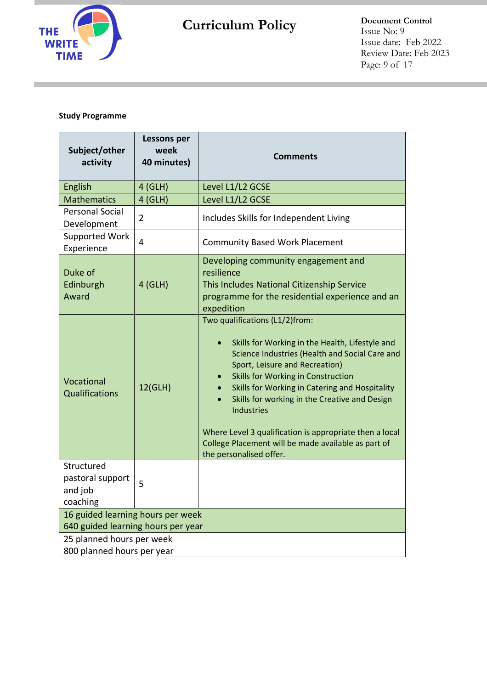

### **Study Programme**

| Subject/other<br>activity                                               | <b>Lessons per</b><br>week<br>40 minutes) | <b>Comments</b>                                                                                                                                                                                                                                                                                                                                                                                                                                                                  |  |  |
|-------------------------------------------------------------------------|-------------------------------------------|----------------------------------------------------------------------------------------------------------------------------------------------------------------------------------------------------------------------------------------------------------------------------------------------------------------------------------------------------------------------------------------------------------------------------------------------------------------------------------|--|--|
| English                                                                 | $4$ (GLH)                                 | Level L1/L2 GCSE                                                                                                                                                                                                                                                                                                                                                                                                                                                                 |  |  |
| <b>Mathematics</b>                                                      | $4$ (GLH)                                 | Level L1/L2 GCSE                                                                                                                                                                                                                                                                                                                                                                                                                                                                 |  |  |
| <b>Personal Social</b><br>Development                                   | $\overline{2}$                            | Includes Skills for Independent Living                                                                                                                                                                                                                                                                                                                                                                                                                                           |  |  |
| <b>Supported Work</b><br>Experience                                     | $\overline{4}$                            | <b>Community Based Work Placement</b>                                                                                                                                                                                                                                                                                                                                                                                                                                            |  |  |
| Duke of<br>Edinburgh<br>Award                                           | $4$ (GLH)                                 | Developing community engagement and<br>resilience<br>This Includes National Citizenship Service<br>programme for the residential experience and an<br>expedition                                                                                                                                                                                                                                                                                                                 |  |  |
| Vocational<br>Qualifications                                            | 12(GLH)                                   | Two qualifications (L1/2)from:<br>Skills for Working in the Health, Lifestyle and<br>Science Industries (Health and Social Care and<br>Sport, Leisure and Recreation)<br>Skills for Working in Construction<br>Skills for Working in Catering and Hospitality<br>Skills for working in the Creative and Design<br><b>Industries</b><br>Where Level 3 qualification is appropriate then a local<br>College Placement will be made available as part of<br>the personalised offer. |  |  |
| Structured<br>pastoral support<br>and job<br>coaching                   | 5                                         |                                                                                                                                                                                                                                                                                                                                                                                                                                                                                  |  |  |
| 16 guided learning hours per week<br>640 guided learning hours per year |                                           |                                                                                                                                                                                                                                                                                                                                                                                                                                                                                  |  |  |
| 25 planned hours per week<br>800 planned hours per year                 |                                           |                                                                                                                                                                                                                                                                                                                                                                                                                                                                                  |  |  |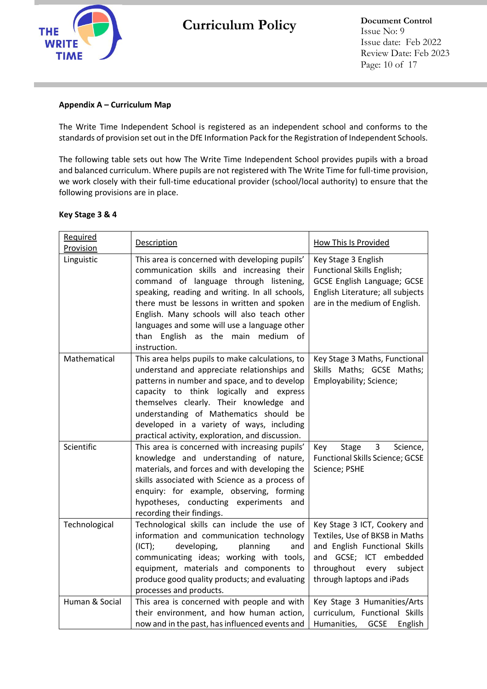

#### **Appendix A – Curriculum Map**

The Write Time Independent School is registered as an independent school and conforms to the standards of provision set out in the DfE Information Pack for the Registration of Independent Schools.

The following table sets out how The Write Time Independent School provides pupils with a broad and balanced curriculum. Where pupils are not registered with The Write Time for full-time provision, we work closely with their full-time educational provider (school/local authority) to ensure that the following provisions are in place.

|  | Key Stage 3 & 4 |  |  |  |
|--|-----------------|--|--|--|
|--|-----------------|--|--|--|

| Required<br>Provision | <b>Description</b>                                                                                                                                                                                                                                                                                                                                                                             | <b>How This Is Provided</b>                                                                                                                                                           |
|-----------------------|------------------------------------------------------------------------------------------------------------------------------------------------------------------------------------------------------------------------------------------------------------------------------------------------------------------------------------------------------------------------------------------------|---------------------------------------------------------------------------------------------------------------------------------------------------------------------------------------|
| Linguistic            | This area is concerned with developing pupils'<br>communication skills and increasing their<br>command of language through listening,<br>speaking, reading and writing. In all schools,<br>there must be lessons in written and spoken<br>English. Many schools will also teach other<br>languages and some will use a language other<br>than<br>English as the main medium of<br>instruction. | Key Stage 3 English<br>Functional Skills English;<br>GCSE English Language; GCSE<br>English Literature; all subjects<br>are in the medium of English.                                 |
| Mathematical          | This area helps pupils to make calculations, to<br>understand and appreciate relationships and<br>patterns in number and space, and to develop<br>capacity to think logically and express<br>themselves clearly. Their knowledge and<br>understanding of Mathematics should be<br>developed in a variety of ways, including<br>practical activity, exploration, and discussion.                | Key Stage 3 Maths, Functional<br>Skills Maths; GCSE Maths;<br>Employability; Science;                                                                                                 |
| Scientific            | This area is concerned with increasing pupils'<br>knowledge and understanding of nature,<br>materials, and forces and with developing the<br>skills associated with Science as a process of<br>enquiry: for example, observing, forming<br>hypotheses, conducting experiments and<br>recording their findings.                                                                                 | 3<br>Science,<br>Key<br><b>Stage</b><br><b>Functional Skills Science; GCSE</b><br>Science; PSHE                                                                                       |
| Technological         | Technological skills can include the use of<br>information and communication technology<br>(ICT);<br>developing,<br>planning<br>and<br>communicating ideas; working with tools,<br>equipment, materials and components to<br>produce good quality products; and evaluating<br>processes and products.                                                                                          | Key Stage 3 ICT, Cookery and<br>Textiles, Use of BKSB in Maths<br>and English Functional Skills<br>and GCSE; ICT embedded<br>throughout every<br>subject<br>through laptops and iPads |
| Human & Social        | This area is concerned with people and with<br>their environment, and how human action,<br>now and in the past, has influenced events and                                                                                                                                                                                                                                                      | Key Stage 3 Humanities/Arts<br>curriculum, Functional Skills<br><b>GCSE</b><br>Humanities,<br>English                                                                                 |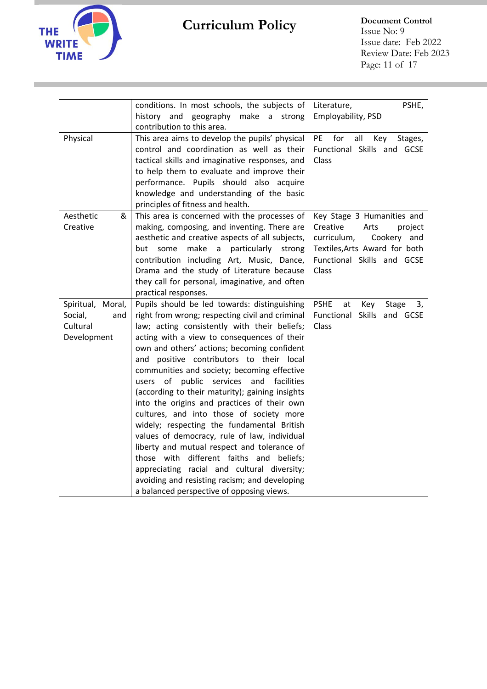

Issue No: 9 Issue date: Feb 2022 Review Date: Feb 2023 Page: 11 of 17

|                                                                   | conditions. In most schools, the subjects of<br>history and geography make a strong<br>contribution to this area.                                                                                                                                                                                                                                                                                                                                                                                                                                                                                                                                                                                                                                                                                                                                                          | PSHE,<br>Literature,<br>Employability, PSD                                                                                                                         |
|-------------------------------------------------------------------|----------------------------------------------------------------------------------------------------------------------------------------------------------------------------------------------------------------------------------------------------------------------------------------------------------------------------------------------------------------------------------------------------------------------------------------------------------------------------------------------------------------------------------------------------------------------------------------------------------------------------------------------------------------------------------------------------------------------------------------------------------------------------------------------------------------------------------------------------------------------------|--------------------------------------------------------------------------------------------------------------------------------------------------------------------|
| Physical                                                          | This area aims to develop the pupils' physical<br>control and coordination as well as their<br>tactical skills and imaginative responses, and<br>to help them to evaluate and improve their<br>performance. Pupils should also acquire<br>knowledge and understanding of the basic<br>principles of fitness and health.                                                                                                                                                                                                                                                                                                                                                                                                                                                                                                                                                    | for<br>all<br>PE<br>Key<br>Stages,<br>Functional Skills and GCSE<br>Class                                                                                          |
| Aesthetic<br>&<br>Creative                                        | This area is concerned with the processes of<br>making, composing, and inventing. There are<br>aesthetic and creative aspects of all subjects,<br>make<br>but<br>some<br>particularly<br>$\overline{a}$<br>strong<br>contribution including Art, Music, Dance,<br>Drama and the study of Literature because<br>they call for personal, imaginative, and often<br>practical responses.                                                                                                                                                                                                                                                                                                                                                                                                                                                                                      | Key Stage 3 Humanities and<br>Creative<br>Arts<br>project<br>curriculum,<br>Cookery<br>and<br>Textiles, Arts Award for both<br>Functional Skills and GCSE<br>Class |
| Spiritual,<br>Moral,<br>Social,<br>and<br>Cultural<br>Development | Pupils should be led towards: distinguishing<br>right from wrong; respecting civil and criminal<br>law; acting consistently with their beliefs;<br>acting with a view to consequences of their<br>own and others' actions; becoming confident<br>and positive contributors to their local<br>communities and society; becoming effective<br>users of public services<br>and facilities<br>(according to their maturity); gaining insights<br>into the origins and practices of their own<br>cultures, and into those of society more<br>widely; respecting the fundamental British<br>values of democracy, rule of law, individual<br>liberty and mutual respect and tolerance of<br>those with different faiths and beliefs;<br>appreciating racial and cultural diversity;<br>avoiding and resisting racism; and developing<br>a balanced perspective of opposing views. | <b>PSHE</b><br>at<br>3,<br>Key<br>Stage<br>Functional Skills and GCSE<br>Class                                                                                     |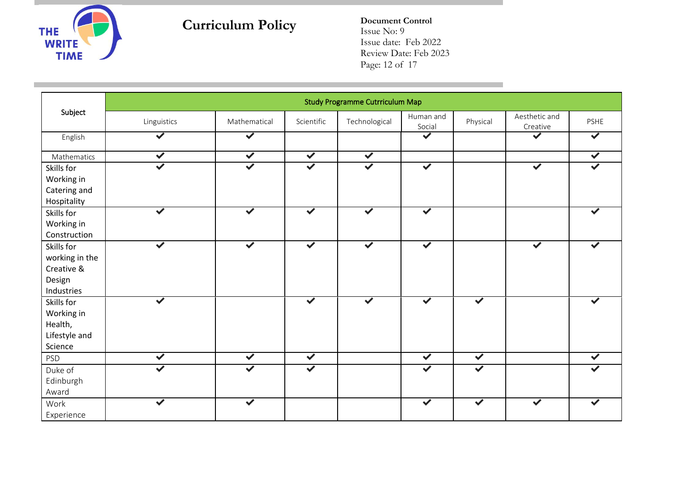

Issue No: 9 Issue date: Feb 2022 Review Date: Feb 2023 Page: 12 of 17

| Subject                                                            |                           |                      |                      | <b>Study Programme Cutrriculum Map</b> |                      |                      |                           |                       |
|--------------------------------------------------------------------|---------------------------|----------------------|----------------------|----------------------------------------|----------------------|----------------------|---------------------------|-----------------------|
|                                                                    | Linguistics               | Mathematical         | Scientific           | Technological                          | Human and<br>Social  | Physical             | Aesthetic and<br>Creative | PSHE                  |
| English                                                            | $\blacktriangledown$      | $\blacktriangledown$ |                      |                                        | $\blacktriangledown$ |                      | $\blacktriangledown$      | $\blacktriangledown$  |
| Mathematics                                                        | $\checkmark$              | $\blacktriangledown$ | $\blacktriangledown$ | $\blacklozenge$                        |                      |                      |                           | $\blacktriangledown$  |
| Skills for<br>Working in<br>Catering and<br>Hospitality            | $\checkmark$              | $\blacktriangledown$ | $\checkmark$         | $\blacktriangledown$                   | $\blacktriangledown$ |                      | $\blacktriangledown$      | $\blacktriangledown$  |
| Skills for<br>Working in<br>Construction                           | $\blacktriangleright$     | $\blacktriangledown$ | $\blacktriangledown$ | $\overline{\mathbf{v}}$                | $\blacktriangledown$ |                      |                           | $\blacktriangledown$  |
| Skills for<br>working in the<br>Creative &<br>Design<br>Industries | $\boldsymbol{\checkmark}$ | $\blacktriangledown$ | $\blacktriangledown$ | $\blacktriangledown$                   | $\blacktriangledown$ |                      | $\overline{\mathbf{v}}$   | ✔                     |
| Skills for<br>Working in<br>Health,<br>Lifestyle and<br>Science    | $\blacktriangleright$     |                      | $\blacklozenge$      | $\checkmark$                           | $\checkmark$         | $\blacktriangledown$ |                           | ✔                     |
| PSD                                                                | $\checkmark$              | $\blacklozenge$      | $\blacktriangledown$ |                                        | $\blacktriangledown$ | $\blacktriangledown$ |                           | $\checkmark$          |
| Duke of<br>Edinburgh<br>Award                                      |                           | $\blacktriangledown$ | $\blacktriangledown$ |                                        | $\blacktriangledown$ | $\checkmark$         |                           |                       |
| Work<br>Experience                                                 | $\checkmark$              | $\checkmark$         |                      |                                        | $\blacktriangledown$ | $\blacktriangledown$ | $\checkmark$              | $\blacktriangleright$ |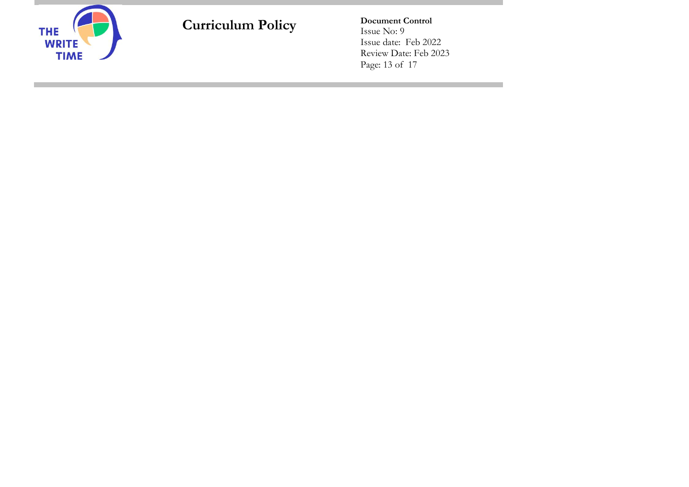

Issue No: 9 Issue date: Feb 2022 Review Date: Feb 2023 Page: 13 of 17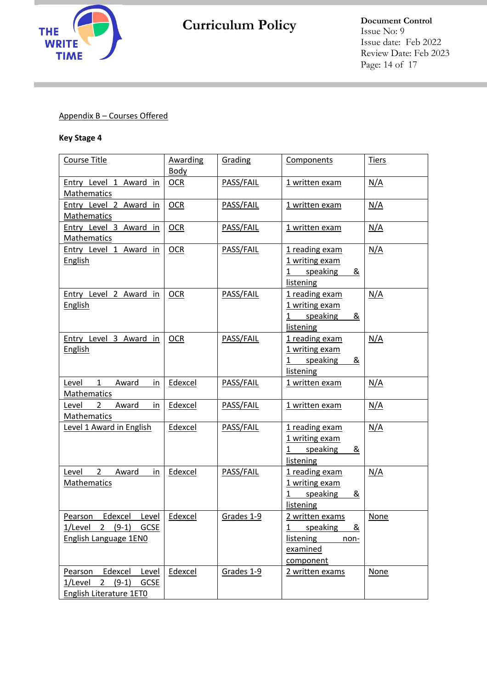

### Appendix B – Courses Offered

### **Key Stage 4**

| Course Title                                                                                                      | <b>Awarding</b><br>Body | Grading    | Components                                                                                  | <b>Tiers</b> |
|-------------------------------------------------------------------------------------------------------------------|-------------------------|------------|---------------------------------------------------------------------------------------------|--------------|
| Entry Level 1 Award in<br>Mathematics                                                                             | OCR                     | PASS/FAIL  | 1 written exam                                                                              | <u>N/A</u>   |
| Entry Level 2 Award in<br><b>Mathematics</b>                                                                      | OCR                     | PASS/FAIL  | 1 written exam                                                                              | <u>N/A</u>   |
| Entry Level 3 Award in<br><b>Mathematics</b>                                                                      | OCR                     | PASS/FAIL  | 1 written exam                                                                              | <u>N/A</u>   |
| Entry Level 1 Award in<br><b>English</b>                                                                          | <b>OCR</b>              | PASS/FAIL  | 1 reading exam<br>1 writing exam<br>speaking<br><u>&amp;</u><br>1<br><b>listening</b>       | N/A          |
| Entry Level 2 Award in<br>English                                                                                 | $OCR$                   | PASS/FAIL  | 1 reading exam<br>1 writing exam<br>speaking<br>&<br>1<br>listening                         | N/A          |
| Entry Level 3 Award in<br><b>English</b>                                                                          | OCR                     | PASS/FAIL  | 1 reading exam<br>1 writing exam<br>speaking<br>&<br>1<br>listening                         | N/A          |
| $\mathbf{1}$<br>Award<br>Level<br>in<br><b>Mathematics</b>                                                        | Edexcel                 | PASS/FAIL  | 1 written exam                                                                              | <u>N/A</u>   |
| Award<br>Level<br>$\overline{2}$<br>in<br>Mathematics                                                             | Edexcel                 | PASS/FAIL  | 1 written exam                                                                              | N/A          |
| Level 1 Award in English                                                                                          | Edexcel                 | PASS/FAIL  | 1 reading exam<br>1 writing exam<br>speaking<br>1<br>&<br>listening                         | N/A          |
| $\overline{2}$<br>Level<br>Award<br><u>in</u><br><b>Mathematics</b>                                               | Edexcel                 | PASS/FAIL  | 1 reading exam<br>1 writing exam<br>speaking<br>1<br><u>&amp;</u><br>listening              | N/A          |
| Edexcel<br>Pearson<br>Level<br>1/Level 2 (9-1) GCSE<br><b>English Language 1ENO</b>                               | Edexcel                 | Grades 1-9 | 2 written exams<br>speaking<br>$1 \quad$<br>&<br>listening<br>non-<br>examined<br>component | None         |
| Edexcel<br>Level<br>Pearson<br>$(9-1)$<br>1/Level<br>$2^{\circ}$<br><b>GCSE</b><br><b>English Literature 1ET0</b> | Edexcel                 | Grades 1-9 | 2 written exams                                                                             | <b>None</b>  |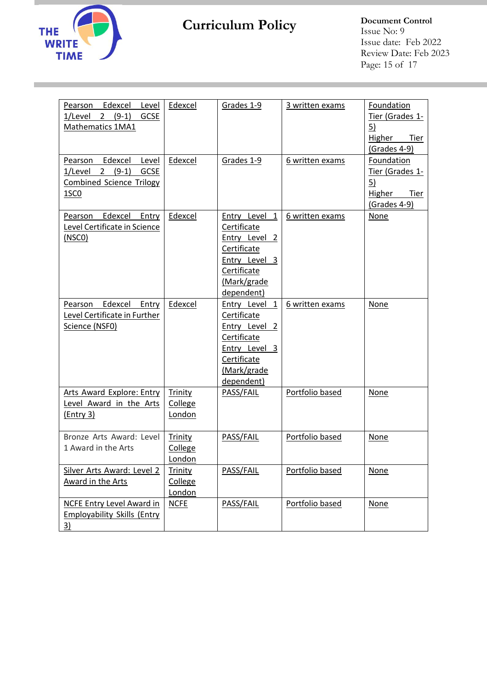

Issue No: 9 Issue date: Feb 2022 Review Date: Feb 2023 Page: 15 of 17

| Pearson Edexcel<br>Level<br>1/Level 2 (9-1)<br><b>GCSE</b><br>Mathematics 1MA1                                                      | Edexcel                             | Grades 1-9                                                                                                                | 3 written exams | Foundation<br>Tier (Grades 1-<br><u>5)</u><br>Higher<br>Tier<br>(Grades 4-9) |
|-------------------------------------------------------------------------------------------------------------------------------------|-------------------------------------|---------------------------------------------------------------------------------------------------------------------------|-----------------|------------------------------------------------------------------------------|
| Pearson Edexcel<br>Level<br>$(9-1)$<br><b>GCSE</b><br>1/Level<br>$2^{\circ}$<br><b>Combined Science Trilogy</b><br>1SC <sub>0</sub> | Edexcel                             | Grades 1-9                                                                                                                | 6 written exams | <b>Foundation</b><br>Tier (Grades 1-<br>5)<br>Tier<br>Higher<br>(Grades 4-9) |
| Edexcel Entry<br>Pearson<br>Level Certificate in Science<br><u>(NSCO)</u>                                                           | Edexcel                             | Entry Level 1<br>Certificate<br>Entry Level 2<br>Certificate<br>Entry Level 3<br>Certificate<br>(Mark/grade<br>dependent) | 6 written exams | <b>None</b>                                                                  |
| Edexcel Entry<br>Pearson<br>Level Certificate in Further<br>Science (NSFO)                                                          | Edexcel                             | Entry Level 1<br>Certificate<br>Entry Level 2<br>Certificate<br>Entry Level 3<br>Certificate<br>(Mark/grade<br>dependent) | 6 written exams | <b>None</b>                                                                  |
| <b>Arts Award Explore: Entry</b><br>Level Award in the Arts<br><u>(Entry 3)</u>                                                     | Trinity<br>College<br>London        | PASS/FAIL                                                                                                                 | Portfolio based | <b>None</b>                                                                  |
| Bronze Arts Award: Level<br>1 Award in the Arts                                                                                     | <b>Trinity</b><br>College<br>London | PASS/FAIL                                                                                                                 | Portfolio based | <b>None</b>                                                                  |
| Silver Arts Award: Level 2<br><b>Award in the Arts</b>                                                                              | <b>Trinity</b><br>College<br>London | PASS/FAIL                                                                                                                 | Portfolio based | <b>None</b>                                                                  |
| <b>NCFE Entry Level Award in</b><br><b>Employability Skills (Entry</b><br>$\overline{3}$                                            | <b>NCFE</b>                         | PASS/FAIL                                                                                                                 | Portfolio based | <b>None</b>                                                                  |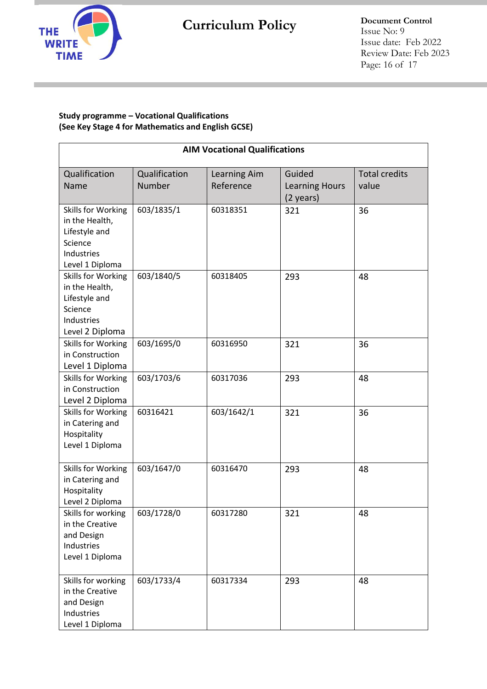

### **Study programme – Vocational Qualifications (See Key Stage 4 for Mathematics and English GCSE)**

| <b>AIM Vocational Qualifications</b>                                                              |                         |                           |                                              |                               |  |  |  |
|---------------------------------------------------------------------------------------------------|-------------------------|---------------------------|----------------------------------------------|-------------------------------|--|--|--|
| Qualification<br>Name                                                                             | Qualification<br>Number | Learning Aim<br>Reference | Guided<br><b>Learning Hours</b><br>(2 years) | <b>Total credits</b><br>value |  |  |  |
| Skills for Working<br>in the Health,<br>Lifestyle and<br>Science<br>Industries<br>Level 1 Diploma | 603/1835/1              | 60318351                  | 321                                          | 36                            |  |  |  |
| Skills for Working<br>in the Health,<br>Lifestyle and<br>Science<br>Industries<br>Level 2 Diploma | 603/1840/5              | 60318405                  | 293                                          | 48                            |  |  |  |
| Skills for Working<br>in Construction<br>Level 1 Diploma                                          | 603/1695/0              | 60316950                  | 321                                          | 36                            |  |  |  |
| Skills for Working<br>in Construction<br>Level 2 Diploma                                          | 603/1703/6              | 60317036                  | 293                                          | 48                            |  |  |  |
| Skills for Working<br>in Catering and<br>Hospitality<br>Level 1 Diploma                           | 60316421                | 603/1642/1                | 321                                          | 36                            |  |  |  |
| Skills for Working<br>in Catering and<br>Hospitality<br>Level 2 Diploma                           | 603/1647/0              | 60316470                  | 293                                          | 48                            |  |  |  |
| Skills for working<br>in the Creative<br>and Design<br>Industries<br>Level 1 Diploma              | 603/1728/0              | 60317280                  | 321                                          | 48                            |  |  |  |
| Skills for working<br>in the Creative<br>and Design<br>Industries<br>Level 1 Diploma              | 603/1733/4              | 60317334                  | 293                                          | 48                            |  |  |  |